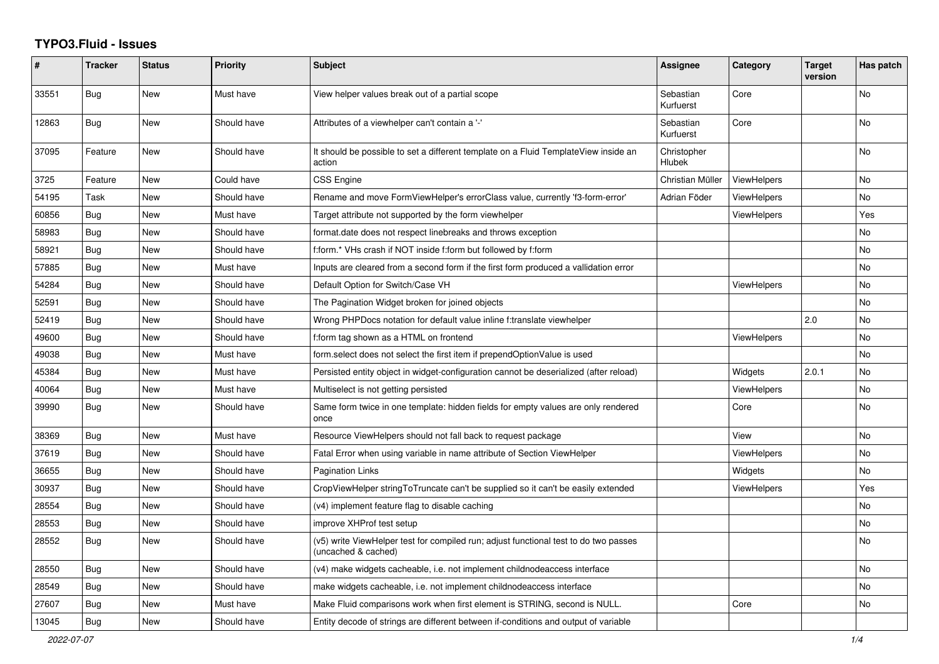## **TYPO3.Fluid - Issues**

| ∦     | <b>Tracker</b> | <b>Status</b> | <b>Priority</b> | <b>Subject</b>                                                                                              | <b>Assignee</b>              | Category           | <b>Target</b><br>version | Has patch |
|-------|----------------|---------------|-----------------|-------------------------------------------------------------------------------------------------------------|------------------------------|--------------------|--------------------------|-----------|
| 33551 | Bug            | <b>New</b>    | Must have       | View helper values break out of a partial scope                                                             | Sebastian<br>Kurfuerst       | Core               |                          | <b>No</b> |
| 12863 | Bug            | New           | Should have     | Attributes of a viewhelper can't contain a '-'                                                              | Sebastian<br>Kurfuerst       | Core               |                          | No        |
| 37095 | Feature        | <b>New</b>    | Should have     | It should be possible to set a different template on a Fluid TemplateView inside an<br>action               | Christopher<br><b>Hlubek</b> |                    |                          | No        |
| 3725  | Feature        | New           | Could have      | <b>CSS Engine</b>                                                                                           | Christian Müller             | ViewHelpers        |                          | No        |
| 54195 | Task           | New           | Should have     | Rename and move FormViewHelper's errorClass value, currently 'f3-form-error'                                | Adrian Föder                 | <b>ViewHelpers</b> |                          | No        |
| 60856 | Bug            | New           | Must have       | Target attribute not supported by the form viewhelper                                                       |                              | <b>ViewHelpers</b> |                          | Yes       |
| 58983 | Bug            | New           | Should have     | format.date does not respect linebreaks and throws exception                                                |                              |                    |                          | <b>No</b> |
| 58921 | Bug            | New           | Should have     | f:form.* VHs crash if NOT inside f:form but followed by f:form                                              |                              |                    |                          | <b>No</b> |
| 57885 | Bug            | New           | Must have       | Inputs are cleared from a second form if the first form produced a vallidation error                        |                              |                    |                          | No        |
| 54284 | Bug            | New           | Should have     | Default Option for Switch/Case VH                                                                           |                              | ViewHelpers        |                          | No        |
| 52591 | Bug            | <b>New</b>    | Should have     | The Pagination Widget broken for joined objects                                                             |                              |                    |                          | No        |
| 52419 | Bug            | <b>New</b>    | Should have     | Wrong PHPDocs notation for default value inline f:translate viewhelper                                      |                              |                    | 2.0                      | <b>No</b> |
| 49600 | <b>Bug</b>     | New           | Should have     | f:form tag shown as a HTML on frontend                                                                      |                              | ViewHelpers        |                          | <b>No</b> |
| 49038 | Bug            | <b>New</b>    | Must have       | form select does not select the first item if prependOptionValue is used                                    |                              |                    |                          | <b>No</b> |
| 45384 | Bug            | New           | Must have       | Persisted entity object in widget-configuration cannot be deserialized (after reload)                       |                              | Widgets            | 2.0.1                    | No        |
| 40064 | Bug            | New           | Must have       | Multiselect is not getting persisted                                                                        |                              | ViewHelpers        |                          | No        |
| 39990 | Bug            | <b>New</b>    | Should have     | Same form twice in one template: hidden fields for empty values are only rendered<br>once                   |                              | Core               |                          | <b>No</b> |
| 38369 | Bug            | New           | Must have       | Resource ViewHelpers should not fall back to request package                                                |                              | View               |                          | No        |
| 37619 | Bug            | <b>New</b>    | Should have     | Fatal Error when using variable in name attribute of Section ViewHelper                                     |                              | ViewHelpers        |                          | <b>No</b> |
| 36655 | Bug            | <b>New</b>    | Should have     | Pagination Links                                                                                            |                              | Widgets            |                          | No        |
| 30937 | Bug            | <b>New</b>    | Should have     | CropViewHelper stringToTruncate can't be supplied so it can't be easily extended                            |                              | <b>ViewHelpers</b> |                          | Yes       |
| 28554 | <b>Bug</b>     | New           | Should have     | (v4) implement feature flag to disable caching                                                              |                              |                    |                          | No        |
| 28553 | Bug            | <b>New</b>    | Should have     | improve XHProf test setup                                                                                   |                              |                    |                          | <b>No</b> |
| 28552 | Bug            | New           | Should have     | (v5) write ViewHelper test for compiled run; adjust functional test to do two passes<br>(uncached & cached) |                              |                    |                          | No        |
| 28550 | Bug            | <b>New</b>    | Should have     | (v4) make widgets cacheable, i.e. not implement childnodeaccess interface                                   |                              |                    |                          | No        |
| 28549 | Bug            | <b>New</b>    | Should have     | make widgets cacheable, i.e. not implement childnodeaccess interface                                        |                              |                    |                          | <b>No</b> |
| 27607 | <b>Bug</b>     | New           | Must have       | Make Fluid comparisons work when first element is STRING, second is NULL.                                   |                              | Core               |                          | <b>No</b> |
| 13045 | <b>Bug</b>     | New           | Should have     | Entity decode of strings are different between if-conditions and output of variable                         |                              |                    |                          |           |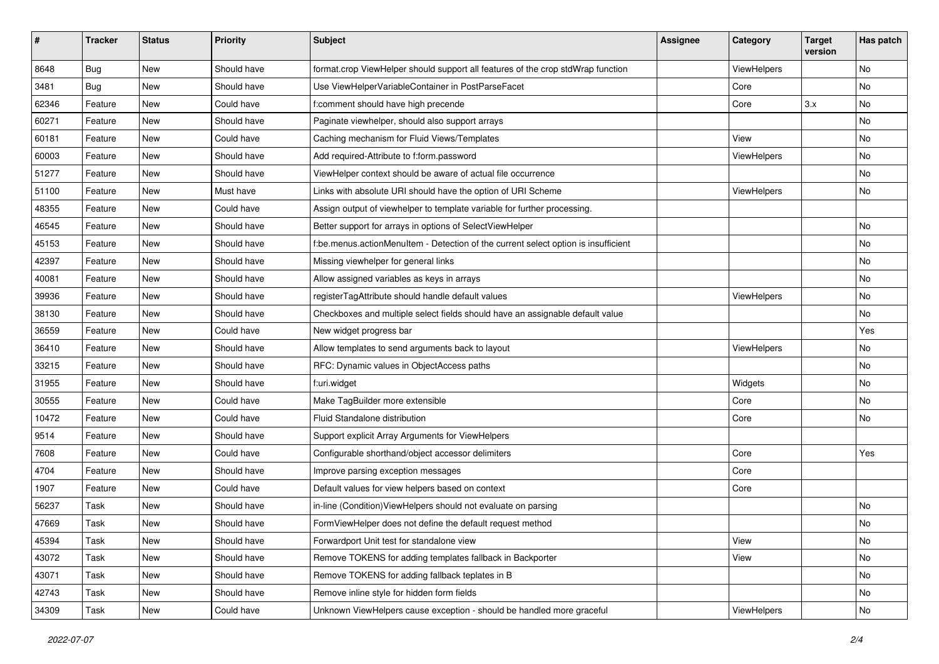| #     | <b>Tracker</b> | <b>Status</b> | <b>Priority</b> | <b>Subject</b>                                                                     | <b>Assignee</b> | Category    | <b>Target</b><br>version | Has patch |
|-------|----------------|---------------|-----------------|------------------------------------------------------------------------------------|-----------------|-------------|--------------------------|-----------|
| 8648  | Bug            | New           | Should have     | format.crop ViewHelper should support all features of the crop stdWrap function    |                 | ViewHelpers |                          | No        |
| 3481  | Bug            | New           | Should have     | Use ViewHelperVariableContainer in PostParseFacet                                  |                 | Core        |                          | No        |
| 62346 | Feature        | New           | Could have      | f:comment should have high precende                                                |                 | Core        | 3.x                      | No        |
| 60271 | Feature        | New           | Should have     | Paginate viewhelper, should also support arrays                                    |                 |             |                          | No        |
| 60181 | Feature        | New           | Could have      | Caching mechanism for Fluid Views/Templates                                        |                 | View        |                          | No        |
| 60003 | Feature        | New           | Should have     | Add required-Attribute to f:form.password                                          |                 | ViewHelpers |                          | No        |
| 51277 | Feature        | New           | Should have     | ViewHelper context should be aware of actual file occurrence                       |                 |             |                          | No        |
| 51100 | Feature        | New           | Must have       | Links with absolute URI should have the option of URI Scheme                       |                 | ViewHelpers |                          | No        |
| 48355 | Feature        | New           | Could have      | Assign output of viewhelper to template variable for further processing.           |                 |             |                          |           |
| 46545 | Feature        | New           | Should have     | Better support for arrays in options of SelectViewHelper                           |                 |             |                          | No        |
| 45153 | Feature        | New           | Should have     | f:be.menus.actionMenuItem - Detection of the current select option is insufficient |                 |             |                          | No        |
| 42397 | Feature        | New           | Should have     | Missing viewhelper for general links                                               |                 |             |                          | No        |
| 40081 | Feature        | New           | Should have     | Allow assigned variables as keys in arrays                                         |                 |             |                          | No        |
| 39936 | Feature        | New           | Should have     | registerTagAttribute should handle default values                                  |                 | ViewHelpers |                          | No        |
| 38130 | Feature        | New           | Should have     | Checkboxes and multiple select fields should have an assignable default value      |                 |             |                          | No        |
| 36559 | Feature        | New           | Could have      | New widget progress bar                                                            |                 |             |                          | Yes       |
| 36410 | Feature        | New           | Should have     | Allow templates to send arguments back to layout                                   |                 | ViewHelpers |                          | No        |
| 33215 | Feature        | New           | Should have     | RFC: Dynamic values in ObjectAccess paths                                          |                 |             |                          | No        |
| 31955 | Feature        | New           | Should have     | f:uri.widget                                                                       |                 | Widgets     |                          | No        |
| 30555 | Feature        | New           | Could have      | Make TagBuilder more extensible                                                    |                 | Core        |                          | No        |
| 10472 | Feature        | New           | Could have      | Fluid Standalone distribution                                                      |                 | Core        |                          | No        |
| 9514  | Feature        | New           | Should have     | Support explicit Array Arguments for ViewHelpers                                   |                 |             |                          |           |
| 7608  | Feature        | New           | Could have      | Configurable shorthand/object accessor delimiters                                  |                 | Core        |                          | Yes       |
| 4704  | Feature        | <b>New</b>    | Should have     | Improve parsing exception messages                                                 |                 | Core        |                          |           |
| 1907  | Feature        | New           | Could have      | Default values for view helpers based on context                                   |                 | Core        |                          |           |
| 56237 | Task           | New           | Should have     | in-line (Condition) View Helpers should not evaluate on parsing                    |                 |             |                          | No        |
| 47669 | Task           | New           | Should have     | FormViewHelper does not define the default request method                          |                 |             |                          | No        |
| 45394 | Task           | New           | Should have     | Forwardport Unit test for standalone view                                          |                 | View        |                          | No        |
| 43072 | Task           | New           | Should have     | Remove TOKENS for adding templates fallback in Backporter                          |                 | View        |                          | No        |
| 43071 | Task           | New           | Should have     | Remove TOKENS for adding fallback teplates in B                                    |                 |             |                          | No        |
| 42743 | Task           | New           | Should have     | Remove inline style for hidden form fields                                         |                 |             |                          | No        |
| 34309 | Task           | New           | Could have      | Unknown ViewHelpers cause exception - should be handled more graceful              |                 | ViewHelpers |                          | No        |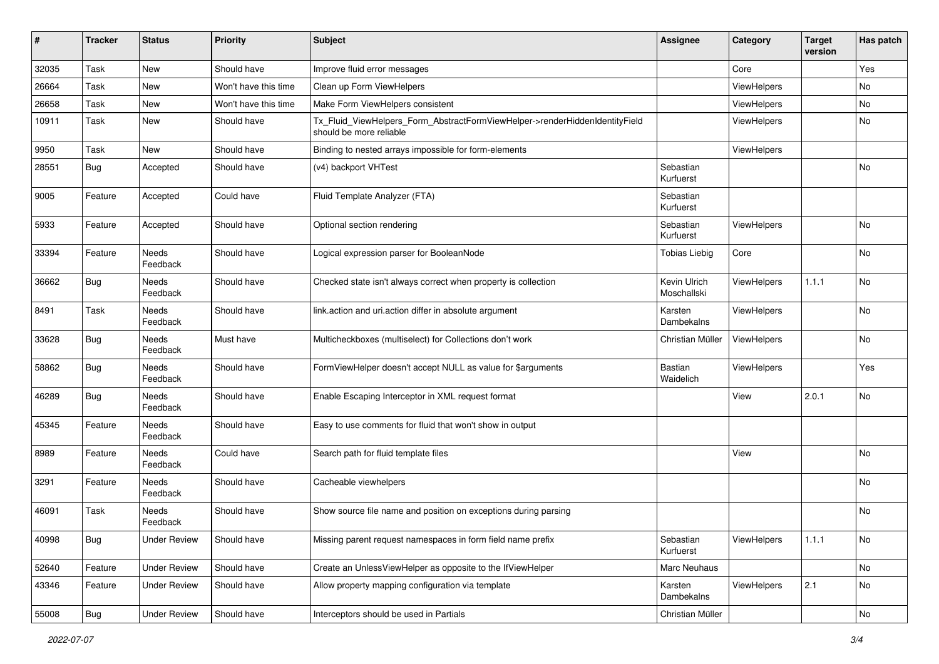| #     | <b>Tracker</b> | <b>Status</b>       | <b>Priority</b>      | <b>Subject</b>                                                                                         | <b>Assignee</b>             | Category    | <b>Target</b><br>version | <b>Has patch</b> |
|-------|----------------|---------------------|----------------------|--------------------------------------------------------------------------------------------------------|-----------------------------|-------------|--------------------------|------------------|
| 32035 | Task           | New                 | Should have          | Improve fluid error messages                                                                           |                             | Core        |                          | Yes              |
| 26664 | Task           | New                 | Won't have this time | Clean up Form ViewHelpers                                                                              |                             | ViewHelpers |                          | No               |
| 26658 | Task           | New                 | Won't have this time | Make Form ViewHelpers consistent                                                                       |                             | ViewHelpers |                          | No               |
| 10911 | Task           | New                 | Should have          | Tx_Fluid_ViewHelpers_Form_AbstractFormViewHelper->renderHiddenIdentityField<br>should be more reliable |                             | ViewHelpers |                          | No               |
| 9950  | Task           | New                 | Should have          | Binding to nested arrays impossible for form-elements                                                  |                             | ViewHelpers |                          |                  |
| 28551 | Bug            | Accepted            | Should have          | (v4) backport VHTest                                                                                   | Sebastian<br>Kurfuerst      |             |                          | No               |
| 9005  | Feature        | Accepted            | Could have           | Fluid Template Analyzer (FTA)                                                                          | Sebastian<br>Kurfuerst      |             |                          |                  |
| 5933  | Feature        | Accepted            | Should have          | Optional section rendering                                                                             | Sebastian<br>Kurfuerst      | ViewHelpers |                          | No               |
| 33394 | Feature        | Needs<br>Feedback   | Should have          | Logical expression parser for BooleanNode                                                              | <b>Tobias Liebig</b>        | Core        |                          | <b>No</b>        |
| 36662 | Bug            | Needs<br>Feedback   | Should have          | Checked state isn't always correct when property is collection                                         | Kevin Ulrich<br>Moschallski | ViewHelpers | 1.1.1                    | No               |
| 8491  | Task           | Needs<br>Feedback   | Should have          | link.action and uri.action differ in absolute argument                                                 | Karsten<br>Dambekalns       | ViewHelpers |                          | No               |
| 33628 | Bug            | Needs<br>Feedback   | Must have            | Multicheckboxes (multiselect) for Collections don't work                                               | Christian Müller            | ViewHelpers |                          | <b>No</b>        |
| 58862 | Bug            | Needs<br>Feedback   | Should have          | FormViewHelper doesn't accept NULL as value for \$arguments                                            | Bastian<br>Waidelich        | ViewHelpers |                          | Yes              |
| 46289 | Bug            | Needs<br>Feedback   | Should have          | Enable Escaping Interceptor in XML request format                                                      |                             | View        | 2.0.1                    | No               |
| 45345 | Feature        | Needs<br>Feedback   | Should have          | Easy to use comments for fluid that won't show in output                                               |                             |             |                          |                  |
| 8989  | Feature        | Needs<br>Feedback   | Could have           | Search path for fluid template files                                                                   |                             | View        |                          | No               |
| 3291  | Feature        | Needs<br>Feedback   | Should have          | Cacheable viewhelpers                                                                                  |                             |             |                          | No               |
| 46091 | Task           | Needs<br>Feedback   | Should have          | Show source file name and position on exceptions during parsing                                        |                             |             |                          | No               |
| 40998 | <b>Bug</b>     | <b>Under Review</b> | Should have          | Missing parent request namespaces in form field name prefix                                            | Sebastian<br>Kurfuerst      | ViewHelpers | 1.1.1                    | No               |
| 52640 | Feature        | <b>Under Review</b> | Should have          | Create an UnlessViewHelper as opposite to the IfViewHelper                                             | Marc Neuhaus                |             |                          | No               |
| 43346 | Feature        | <b>Under Review</b> | Should have          | Allow property mapping configuration via template                                                      | Karsten<br>Dambekalns       | ViewHelpers | 2.1                      | No               |
| 55008 | Bug            | <b>Under Review</b> | Should have          | Interceptors should be used in Partials                                                                | Christian Müller            |             |                          | $\mathsf{No}$    |